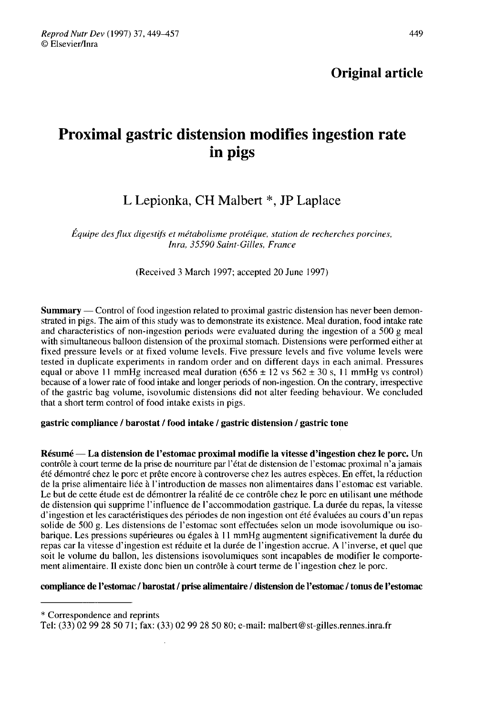# Original article

# Proximal gastric distension modifies ingestion rate in pigs

# L Lepionka, CH Malbert \*, JP Laplace

Équipe des flux digestifs et métabolisme protéique, station de recherches porcines, Inra, 35590 Saint-Gilles, France

(Received 3 March 1997; accepted 20 June 1997)

Summary ― Control of food ingestion related to proximal gastric distension has never been demonstrated in pigs. The aim of this study was to demonstrate its existence. Meal duration, food intake rate and characteristics of non-ingestion periods were evaluated during the ingestion of a 500 g meal with simultaneous balloon distension of the proximal stomach. Distensions were performed either at fixed pressure levels or at fixed volume levels. Five pressure levels and five volume levels were tested in duplicate experiments in random order and on different days in each animal. Pressures equal or above 11 mmHg increased meal duration  $(656 \pm 12 \text{ vs } 562 \pm 30 \text{ s}, 11 \text{ mmHg vs control})$ because of a lower rate of food intake and longer periods of non-ingestion. On the contrary, irrespective of the gastric bag volume, isovolumic distensions did not alter feeding behaviour. We concluded that a short term control of food intake exists in pigs.

#### gastric compliance / barostat / food intake / gastric distension / gastric tone

Résumé ― La distension de l'estomac proximal modifie la vitesse d'ingestion chez le porc. Un contrôle à court terme de la prise de nourriture par l'état de distension de l'estomac proximal n'ajamais été démontré chez le porc et prête encore à controverse chez les autres espèces. En effet, la réduction de la prise alimentaire liée à l'introduction de masses non alimentaires dans l'estomac est variable. Le but de cette étude est de démontrer la réalité de ce contrôle chez le porc en utilisant une méthode de distension qui supprime l'influence de l'accommodation gastrique. La durée du repas, la vitesse d'ingestion et les caractéristiques des périodes de non ingestion ont été évaluées au cours d'un repas solide de 500 g. Les distensions de l'estomac sont effectuées selon un mode isovolumique ou isobarique. Les pressions supérieures ou égales à 11 mmHg augmentent significativement la durée du repas car la vitesse d'ingestion est réduite et la durée de l'ingestion accrue. A l'inverse, et quel que soit le volume du ballon, les distensions isovolumiques sont incapables de modifier le comporte ment alimentaire. Il existe donc bien un contrôle à court terme de l'ingestion chez le porc.

#### compliance de l'estomac / barostat / prise alimentaire / distension de l'estomac / tonus de l'estomac

<sup>\*</sup> Correspondence and reprints

Tel: (33) 02 99 28 50 71; fax: (33) 02 99 28 50 80; e-mail: malbert@st-gilles.rennes.inra.fr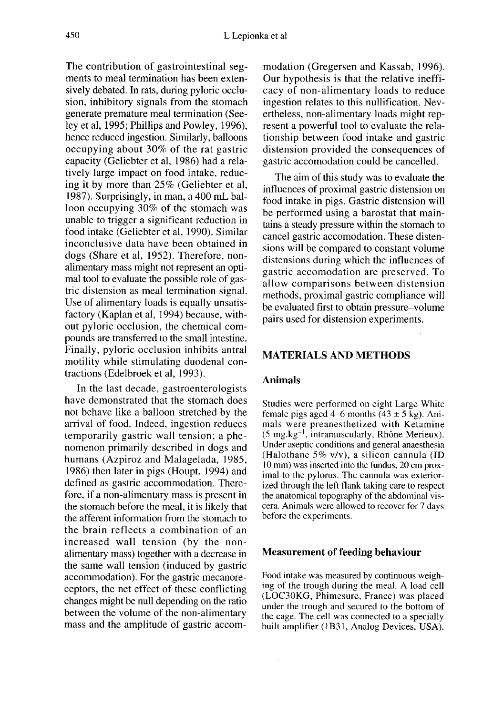The contribution of gastrointestinal seg ments to meal termination has been extensively debated. In rats, during pyloric occlusion, inhibitory signals from the stomach generate premature meal termination (Seeley et al, 1995; Phillips and Powley, 1996), hence reduced ingestion. Similarly, balloons occupying about 30% of the rat gastric capacity (Geliebter et al, 1986) had a relatively large impact on food intake, reducing it by more than 25% (Geliebter et al, 1987). Surprisingly, in man, a 400 mL balloon occupying 30% of the stomach was unable to trigger a significant reduction in food intake (Geliebter et al, 1990). Similar inconclusive data have been obtained in dogs (Share et al, 1952). Therefore, nonalimentary mass might not represent an optimal tool to evaluate the possible role of gastric distension as meal termination signal. Use of alimentary loads is equally unsatisfactory (Kaplan et al, 1994) because, without pyloric occlusion, the chemical compounds are transferred to the small intestine. Finally, pyloric occlusion inhibits antral motility while stimulating duodenal contractions (Edelbroek et al, 1993).

In the last decade, gastroenterologists have demonstrated that the stomach does not behave like a balloon stretched by the arrival of food. Indeed, ingestion reduces temporarily gastric wall tension; a phe nomenon primarily described in dogs and humans (Azpiroz and Malagelada, 1985, 1986) then later in pigs (Houpt, 1994) and defined as gastric accommodation. Therefore, if a non-alimentary mass is present in the stomach before the meal, it is likely that the afferent information from the stomach to the brain reflects a combination of an increased wall tension (by the nonalimentary mass) together with a decrease in the same wall tension (induced by gastric accommodation). For the gastric mecanoreceptors, the net effect of these conflicting changes might be null depending on the ratio between the volume of the non-alimentary mass and the amplitude of gastric accom-

modation (Gregersen and Kassab, 1996). Our hypothesis is that the relative inefficacy of non-alimentary loads to reduce ingestion relates to this nullification. Nevertheless, non-alimentary loads might represent a powerful tool to evaluate the relationship between food intake and gastric distension provided the consequences of gastric accomodation could be cancelled.

The aim of this study was to evaluate the influences of proximal gastric distension on food intake in pigs. Gastric distension will be performed using a barostat that maintains a steady pressure within the stomach to cancel gastric accomodation. These distensions will be compared to constant volume distensions during which the influences of gastric accomodation are preserved. To allow comparisons between distension methods, proximal gastric compliance will be evaluated first to obtain pressure-volume pairs used for distension experiments.

## MATERIALS AND METHODS

#### Animals

Studies were performed on eight Large White female pigs aged 4–6 months  $(43 \pm 5 \text{ kg})$ . Animals were preanesthetized with Ketamine  $(5 \text{ mg} \cdot \text{kg}^{-1})$ , intramuscularly, Rhône Merieux). Under aseptic conditions and general anaesthesia (Halothane 5% v/v), a silicon cannula (ID 10 mm) was inserted into the fundus, 20 cm proximal to the pylorus. The cannula was exteriorized through the left flank taking care to respect the anatomical topography of the abdominal viscera. Animals were allowed to recover for 7 days before the experiments.

#### Measurement of feeding behaviour

Food intake was measured by continuous weighing of the trough during the meal. A load cell (LOC30KG, Phimesure, France) was placed under the trough and secured to the bottom of the cage. The cell was connected to a specially built amplifier (IB31, Analog Devices, USA).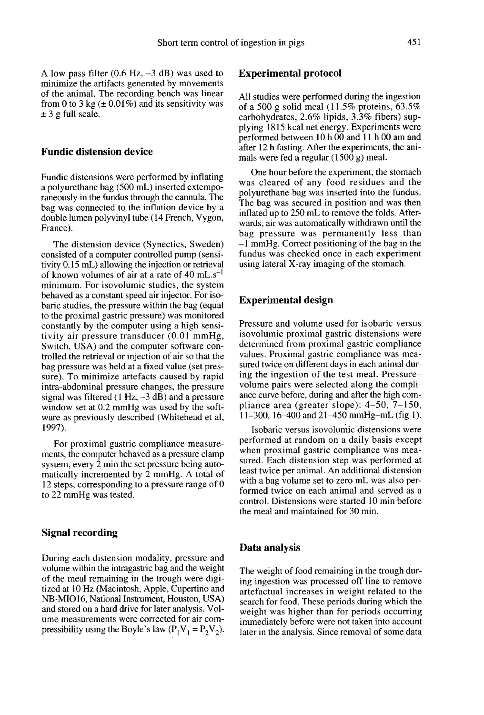A low pass filter  $(0.6 \text{ Hz}, -3 \text{ dB})$  was used to minimize the artifacts generated by movements of the animal. The recording bench was linear from 0 to 3 kg  $(\pm 0.01\%)$  and its sensitivity was  $\pm$  3 g full scale.

#### Fundic distension device

Fundic distensions were performed by inflating a polyurethane bag (500 mL) inserted extemporaneously in the fundus through the cannula. The bag was connected to the inflation device by a double lumen polyvinyl tube (14 French, Vygon, France).

The distension device (Synectics, Sweden) consisted of a computer controlled pump (sensitivity 0.15 mL) allowing the injection or retrieval of known volumes of air at a rate of 40 mL.s<sup>-1</sup> minimum. For isovolumic studies, the system behaved as a constant speed air injector. For isobaric studies, the pressure within the bag (equal to the proximal gastric pressure) was monitored constantly by the computer using a high sensitivity air pressure transducer (0.01 mmHg, Switch, USA) and the computer software controlled the retrieval or injection of air so that the bag pressure was held at a fixed value (set pressure). To minimize artefacts caused by rapid intra-abdominal pressure changes, the pressure signal was filtered  $(1 Hz, -3 dB)$  and a pressure window set at 0.2 mmHg was used by the software as previously described (Whitehead et al, 1997).

For proximal gastric compliance measurements, the computer behaved as a pressure clamp system, every 2 min the set pressure being automatically incremented by 2 mmHg. A total of 12 steps, corresponding to a pressure range of 0 to 22 mmHg was tested.

#### Signal recording

During each distension modality, pressure and volume within the intragastric bag and the weight of the meal remaining in the trough were digitized at 10 Hz (Macintosh, Apple, Cupertino and NB-MI016, National Instrument, Houston, USA) and stored on a hard drive for later analysis. Volume measurements were corrected for air compressibility using the Boyle's law  $(P_1V_1 = P_2V_2)$ .

#### Experimental protocol

All studies were performed during the ingestion of a 500 g solid meal  $(11.5\%$  proteins, 63.5% carbohydrates, 2.6% lipids, 3.3% fibers) supplying 1815 kcal net energy. Experiments were performed between 10 h 00 and 11 h 00 am and after 12 h fasting. After the experiments, the animals were fed a regular (1500 g) meal.

One hour before the experiment, the stomach was cleared of any food residues and the polyurethane bag was inserted into the fundus. The bag was secured in position and was then inflated up to 250 mL to remove the folds. Afterwards, air was automatically withdrawn until the bag pressure was permanently less than  $-1$  mmHg. Correct positioning of the bag in the fundus was checked once in each experiment using lateral X-ray imaging of the stomach.

#### Experimental design

Pressure and volume used for isobaric versus isovolumic proximal gastric distensions were determined from proximal gastric compliance values. Proximal gastric compliance was measured twice on different days in each animal during the ingestion of the test meal. Pressurevolume pairs were selected along the compli ance curve before, during and after the high compliance area (greater slope): 4-50, 7-150, 11-300, 16-400 and 21-450 mmHg-mL (fig 1).

Isobaric versus isovolumic distensions were performed at random on a daily basis except when proximal gastric compliance was measured. Each distension step was performed at least twice per animal. An additional distension with a bag volume set to zero mL was also performed twice on each animal and served as a control. Distensions were started 10 min before the meal and maintained for 30 min.

#### Data analysis

The weight of food remaining in the trough during ingestion was processed off line to remove artefactual increases in weight related to the search for food. These periods during which the weight was higher than for periods occurring immediately before were not taken into account later in the analysis. Since removal of some data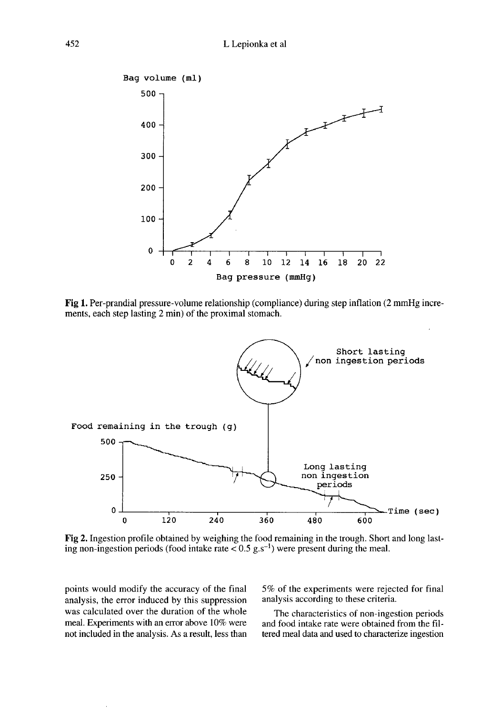

Fig 1. Per-prandial pressure-volume relationship (compliance) during step inflation (2 mmHg increments, each step lasting 2 min) of the proximal stomach.



Fig 2. Ingestion profile obtained by weighing the food remaining in the trough. Short and long lasting non-ingestion periods (food intake rate  $\leq 0.5$  g.s<sup>-1</sup>) were present during the meal.

points would modify the accuracy of the final analysis, the error induced by this suppression was calculated over the duration of the whole meal. Experiments with an error above 10% were not included in the analysis. As a result, less than 5% of the experiments were rejected for final analysis according to these criteria.

The characteristics of non-ingestion periods and food intake rate were obtained from the filtered meal data and used to characterize ingestion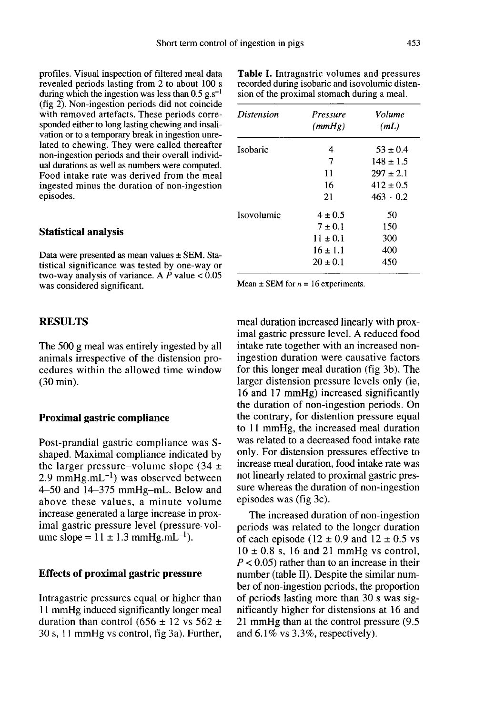profiles. Visual inspection of filtered meal data revealed periods lasting from 2 to about 100 s during which the ingestion was less than  $0.5$  g.s<sup>-1</sup> (fig 2). Non-ingestion periods did not coincide with removed artefacts. These periods corresponded either to long lasting chewing and insalivation or to a temporary break in ingestion unrelated to chewing. They were called thereafter non-ingestion periods and their overall individual durations as well as numbers were computed. Food intake rate was derived from the meal ingested minus the duration of non-ingestion episodes.

#### Statistical analysis

Data were presented as mean values ± SEM. Statistical significance was tested by one-way or two-way analysis of variance. A  $\dot{P}$  value  $< 0.05$ was considered significant.

#### RESULTS

The 500 g meal was entirely ingested by all animals irrespective of the distension procedures within the allowed time window (30 min).

#### Proximal gastric compliance

Post-prandial gastric compliance was Sshaped. Maximal compliance indicated by the larger pressure-volume slope  $(34 \pm$ **Proximal gastric compliance**<br>
Post-prandial gastric compliance was S-<br>
shaped. Maximal compliance indicated by<br>
the larger pressure–volume slope  $(34 \pm 2.9 \text{ mmHg.mL}^{-1})$  was observed between<br>
4–50 and 14–375 mmHg–mL. Belo 4-50 and 14-375 mmHg-mL. Below and above these values, a minute volume increase generated a large increase in prox-<br>imal gastric pressure level (pressure-volthe larger pressure–volume slope (34  $\pm$  2.9 mmHg.mL<sup>-1</sup>) was observed between 4–50 and 14–375 mmHg–mL. Below and above these values, a minute volume increase generated a large increase in proximal gastric pressure level

#### Effects of proximal gastric pressure

Intragastric pressures equal or higher than I I mmHg induced significantly longer meal duration than control (656  $\pm$  12 vs 562  $\pm$ 30 s, 1 1 mmHg vs control, fig 3a). Further,

| Table I. Intragastric volumes and pressures     |
|-------------------------------------------------|
| recorded during isobaric and isovolumic disten- |
| sion of the proximal stomach during a meal.     |

| <i>Distension</i> | Pressure<br>(mmHg) | Volume<br>(mL)  |
|-------------------|--------------------|-----------------|
| Isobaric          | 4                  | $53 \pm 0.4$    |
|                   | 7                  | $148 \pm 1.5$   |
|                   | 11                 | $297 \pm 2.1$   |
|                   | 16                 | $412 \pm 0.5$   |
|                   | 21                 | $463 \cdot 0.2$ |
| Isovolumic        | $4 \pm 0.5$        | 50              |
|                   | $7 + 0.1$          | 150             |
|                   | $11 \pm 0.1$       | 300             |
|                   | $16 \pm 1.1$       | 400             |
|                   | $20 \pm 0.1$       | 450             |

Mean  $\pm$  SEM for  $n = 16$  experiments.

meal duration increased linearly with proximal gastric pressure level. A reduced food intake rate together with an increased noningestion duration were causative factors for this longer meal duration (fig 3b). The larger distension pressure levels only (ie, 16 and 17 mmHg) increased significantly the duration of non-ingestion periods. On the contrary, for distention pressure equal to 11 mmHg, the increased meal duration was related to a decreased food intake rate only. For distension pressures effective to increase meal duration, food intake rate was not linearly related to proximal gastric pressure whereas the duration of non-ingestion episodes was (fig 3c).

The increased duration of non-ingestion periods was related to the longer duration of each episode (12  $\pm$  0.9 and 12  $\pm$  0.5 vs  $10 \pm 0.8$  s, 16 and 21 mmHg vs control,  $P < 0.05$ ) rather than to an increase in their number (table II). Despite the similar number of non-ingestion periods, the proportion of periods lasting more than 30 s was significantly higher for distensions at 16 and 21 mmHg than at the control pressure (9.5 and 6.1% vs 3.3%, respectively).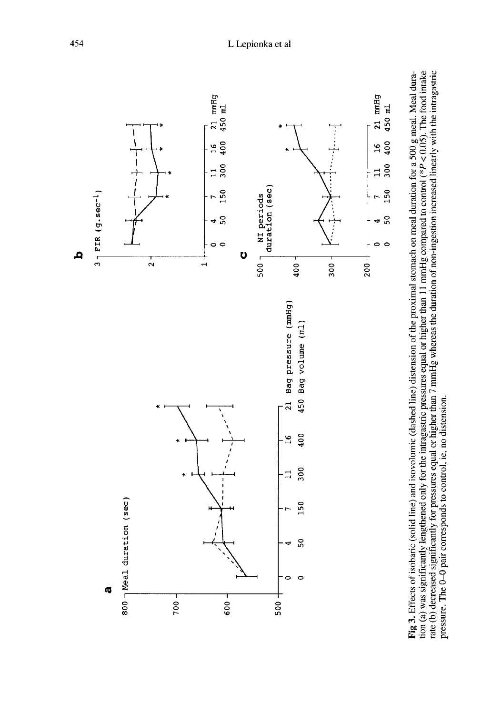

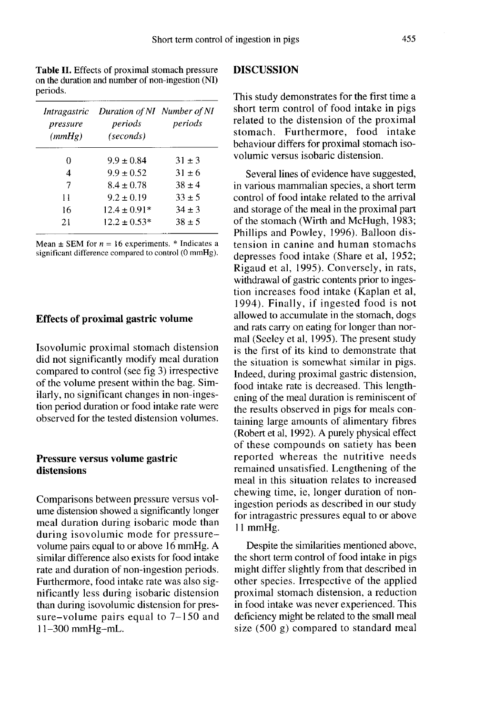Table II. Effects of proximal stomach pressure on the duration and number of non-ingestion (NI) periods.

| Intragastric<br>pressure<br>(mmHg) | Duration of NI Number of NI<br>periods<br>(seconds) | periods    |
|------------------------------------|-----------------------------------------------------|------------|
| 0                                  | $9.9 \pm 0.84$                                      | $31 \pm 3$ |
| 4                                  | $9.9 \pm 0.52$                                      | $31 \pm 6$ |
| 7                                  | $8.4 \pm 0.78$                                      | $38 \pm 4$ |
| 11                                 | $9.2 \pm 0.19$                                      | $33 \pm 5$ |
| 16                                 | $12.4 \pm 0.91*$                                    | $34 + 3$   |
| 21                                 | $12.2 \pm 0.53*$                                    | $38 + 5$   |
|                                    |                                                     |            |

Mean  $\pm$  SEM for  $n = 16$  experiments. \* Indicates a significant difference compared to control (0 mmHg).

#### Effects of proximal gastric volume

Isovolumic proximal stomach distension did not significantly modify meal duration compared to control (see fig 3) irrespective of the volume present within the bag. Similarly, no significant changes in non-ingestion period duration or food intake rate were observed for the tested distension volumes.

### Pressure versus volume gastric distensions

Comparisons between pressure versus volume distension showed a significantly longer meal duration during isobaric mode than during isovolumic mode for pressurevolume pairs equal to or above 16 mmHg. A similar difference also exists for food intake rate and duration of non-ingestion periods. Furthermore, food intake rate was also significantly less during isobaric distension than during isovolumic distension for pressure-volume pairs equal to 7–150 and 11-300 mmHg-mL.

## DISCUSSION

This study demonstrates for the first time a short term control of food intake in pigs related to the distension of the proximal stomach. Furthermore, food intake behaviour differs for proximal stomach isovolumic versus isobaric distension.

Several lines of evidence have suggested, in various mammalian species, a short term control of food intake related to the arrival and storage of the meal in the proximal part of the stomach (Wirth and McHugh, 1983; Phillips and Powley, 1996). Balloon distension in canine and human stomachs depresses food intake (Share et al, 1952; Rigaud et al, 1995). Conversely, in rats, withdrawal of gastric contents prior to ingestion increases food intake (Kaplan et al, 1994). Finally, if ingested food is not allowed to accumulate in the stomach, dogs and rats carry on eating for longer than normal (Seeley et al, 1995). The present study is the first of its kind to demonstrate that the situation is somewhat similar in pigs. Indeed, during proximal gastric distension, food intake rate is decreased. This lengthening of the meal duration is reminiscent of the results observed in pigs for meals containing large amounts of alimentary fibres (Robert et al, 1992). A purely physical effect of these compounds on satiety has been reported whereas the nutritive needs remained unsatisfied. Lengthening of the meal in this situation relates to increased chewing time, ie, longer duration of noningestion periods as described in our study for intragastric pressures equal to or above 11 mmHg.

Despite the similarities mentioned above, the short term control of food intake in pigs might differ slightly from that described in other species. Irrespective of the applied proximal stomach distension, a reduction in food intake was never experienced. This deficiency might be related to the small meal size (500 g) compared to standard meal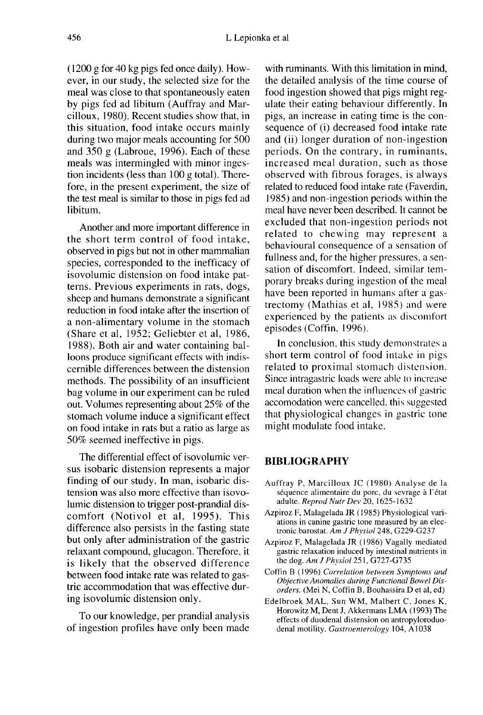(1200 g for 40 kg pigs fed once daily). However, in our study, the selected size for the meal was close to that spontaneously eaten by pigs fed ad libitum (Auffray and Marcilloux, 1980). Recent studies show that, in this situation, food intake occurs mainly during two major meals accounting for 500 and 350 g (Labroue, 1996). Each of these meals was intermingled with minor ingestion incidents (less than 100 g total). Therefore, in the present experiment, the size of the test meal is similar to those in pigs fed ad libitum.

Another and more important difference in the short term control of food intake, observed in pigs but not in other mammalian species, corresponded to the inefficacy of isovolumic distension on food intake pat terns. Previous experiments in rats, dogs, sheep and humans demonstrate a significant reduction in food intake after the insertion of a non-alimentary volume in the stomach (Share et al, 1952; Geliebter et al, 1986, 1988). Both air and water containing balloons produce significant effects with indiscernible differences between the distension methods. The possibility of an insufficient bag volume in our experiment can be ruled out. Volumes representing about 25% of the stomach volume induce a significant effect on food intake in rats but a ratio as large as 50% seemed ineffective in pigs.

The differential effect of isovolumic versus isobaric distension represents a major finding of our study. In man, isobaric distension was also more effective than isovolumic distension to trigger post-prandial discomfort (Notivol et al, 1995). This difference also persists in the fasting state but only after administration of the gastric relaxant compound, glucagon. Therefore, it is likely that the observed difference between food intake rate was related to gastric accommodation that was effective during isovolumic distension only.

To our knowledge, per prandial analysis of ingestion profiles have only been made with ruminants. With this limitation in mind, the detailed analysis of the time course of food ingestion showed that pigs might regulate their eating behaviour differently. In pigs, an increase in eating time is the consequence of (i) decreased food intake rate and (ii) longer duration of non-ingestion periods. On the contrary, in ruminants, increased meal duration, such as those observed with fibrous forages, is always related to reduced food intake rate (Faverdin, 1985) and non-ingestion periods within the meal have never been described. It cannot be excluded that non-ingestion periods not related to chewing may represent a behavioural consequence of a sensation of fullness and, for the higher pressures, a sensation of discomfort. Indeed, similar temporary breaks during ingestion of the meal have been reported in humans after a gastrectomy (Mathias et al, 1985) and were experienced by the patients as discomfort episodes (Coffin, 1996).

In conclusion, this study demonstrates a short term control of food intake in pigs related to proximal stomach distension. Since intragastric loads were able to increase meal duration when the influences of gastric accomodation were cancelled, this suggested that physiological changes in gastric tone might modulate food intake.

#### BIBLIOGRAPHY

- Auffray P, Marcilloux JC (1980) Analyse de la séquence alimentaire du porc, du sevrage à l'état adulte. Reprod Nutr Dev 20, 1625-1632
- Azpiroz F, Malagelada JR (1985) Physiological variations in canine gastric tone measured by an electronic barostat. Am J Physiol 248, G229-G237
- Azpiroz F, Malagelada JR ( 1986) Vagally mediated gastric relaxation induced by intestinal nutrients in the dog.  $AmJ$  Physiol 251, G727-G735
- Coffin B (1996) Correlation between Symptoms and Objective Anomalies during Functional Bowel Disorders. (Mei N, Coffin B, Bouhassira D et al, ed)
- Edelbroek MAL, Sun WM, Malbert C, Jones K, Horowitz M, Dent J, Akkermans LMA (1993) The effects of duodenal distension on antropyloroduo denal motility. Castroenterology 104, A1038